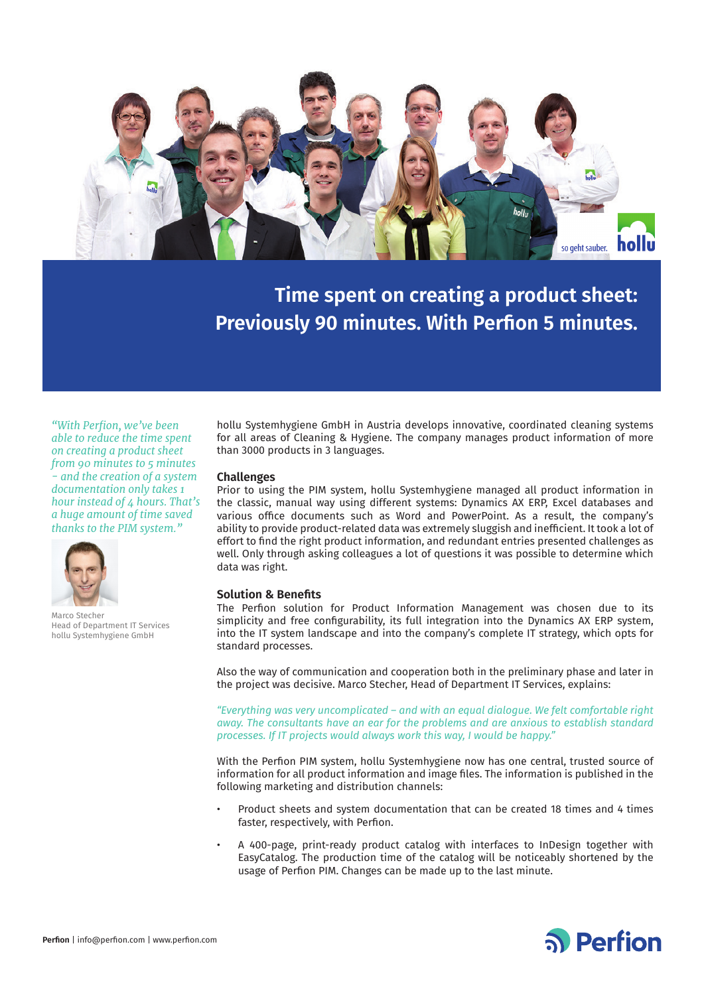

**Time spent on creating a product sheet: Previously 90 minutes. With Perfion 5 minutes.**

*"With Perfion, we've been able to reduce the time spent on creating a product sheet from 90 minutes to 5 minutes - and the creation of a system documentation only takes 1 hour instead of 4 hours. That's a huge amount of time saved thanks to the PIM system."*



Marco Stecher Head of Department IT Services hollu Systemhygiene GmbH

hollu Systemhygiene GmbH in Austria develops innovative, coordinated cleaning systems for all areas of Cleaning & Hygiene. The company manages product information of more than 3000 products in 3 languages.

#### **Challenges**

Prior to using the PIM system, hollu Systemhygiene managed all product information in the classic, manual way using different systems: Dynamics AX ERP, Excel databases and various office documents such as Word and PowerPoint. As a result, the company's ability to provide product-related data was extremely sluggish and inefficient. It took a lot of effort to find the right product information, and redundant entries presented challenges as well. Only through asking colleagues a lot of questions it was possible to determine which data was right.

### **Solution & Benefits**

The Perfion solution for Product Information Management was chosen due to its simplicity and free configurability, its full integration into the Dynamics AX ERP system, into the IT system landscape and into the company's complete IT strategy, which opts for standard processes.

Also the way of communication and cooperation both in the preliminary phase and later in the project was decisive. Marco Stecher, Head of Department IT Services, explains:

*"Everything was very uncomplicated – and with an equal dialogue. We felt comfortable right away. The consultants have an ear for the problems and are anxious to establish standard processes. If IT projects would always work this way, I would be happy."*

With the Perfion PIM system, hollu Systemhygiene now has one central, trusted source of information for all product information and image files. The information is published in the following marketing and distribution channels:

- Product sheets and system documentation that can be created 18 times and 4 times faster, respectively, with Perfion.
- A 400-page, print-ready product catalog with interfaces to InDesign together with EasyCatalog. The production time of the catalog will be noticeably shortened by the usage of Perfion PIM. Changes can be made up to the last minute.